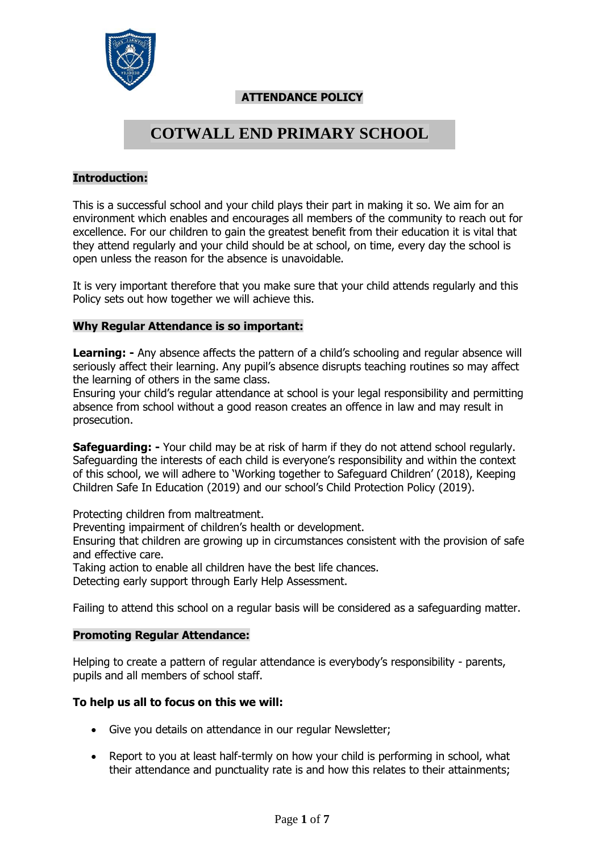

# **ATTENDANCE POLICY**

# **COTWALL END PRIMARY SCHOOL**

# **Introduction:**

This is a successful school and your child plays their part in making it so. We aim for an environment which enables and encourages all members of the community to reach out for excellence. For our children to gain the greatest benefit from their education it is vital that they attend regularly and your child should be at school, on time, every day the school is open unless the reason for the absence is unavoidable.

It is very important therefore that you make sure that your child attends regularly and this Policy sets out how together we will achieve this.

#### **Why Regular Attendance is so important:**

**Learning: -** Any absence affects the pattern of a child's schooling and regular absence will seriously affect their learning. Any pupil's absence disrupts teaching routines so may affect the learning of others in the same class.

Ensuring your child's regular attendance at school is your legal responsibility and permitting absence from school without a good reason creates an offence in law and may result in prosecution.

**Safeguarding: -** Your child may be at risk of harm if they do not attend school regularly. Safeguarding the interests of each child is everyone's responsibility and within the context of this school, we will adhere to 'Working together to Safeguard Children' (2018), Keeping Children Safe In Education (2019) and our school's Child Protection Policy (2019).

Protecting children from maltreatment.

Preventing impairment of children's health or development.

Ensuring that children are growing up in circumstances consistent with the provision of safe and effective care.

Taking action to enable all children have the best life chances.

Detecting early support through Early Help Assessment.

Failing to attend this school on a regular basis will be considered as a safeguarding matter.

#### **Promoting Regular Attendance:**

Helping to create a pattern of regular attendance is everybody's responsibility - parents, pupils and all members of school staff.

#### **To help us all to focus on this we will:**

- Give you details on attendance in our regular Newsletter;
- Report to you at least half-termly on how your child is performing in school, what their attendance and punctuality rate is and how this relates to their attainments;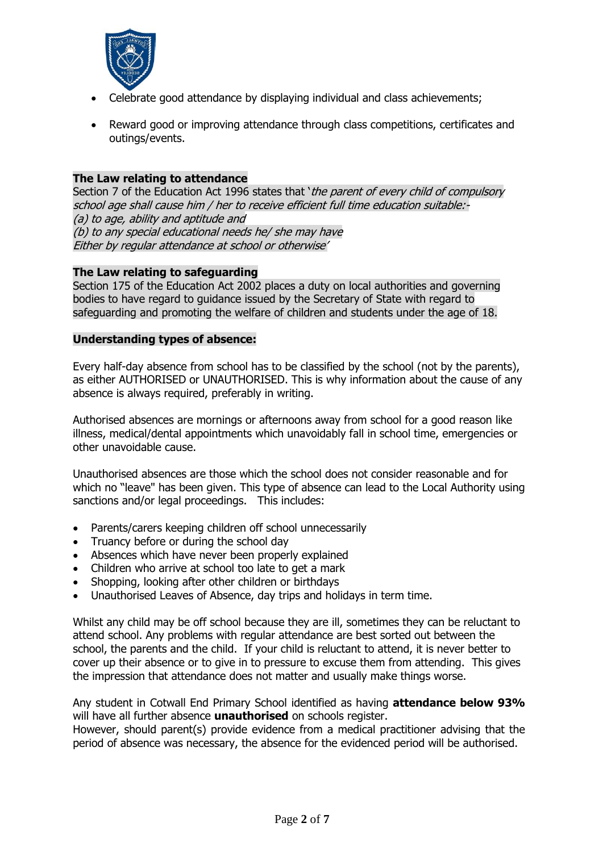

- Celebrate good attendance by displaying individual and class achievements;
- Reward good or improving attendance through class competitions, certificates and outings/events.

#### **The Law relating to attendance**

Section 7 of the Education Act 1996 states that 'the parent of every child of compulsory school age shall cause him / her to receive efficient full time education suitable:- (a) to age, ability and aptitude and (b) to any special educational needs he/ she may have Either by regular attendance at school or otherwise'

#### **The Law relating to safeguarding**

Section 175 of the Education Act 2002 places a duty on local authorities and governing bodies to have regard to guidance issued by the Secretary of State with regard to safeguarding and promoting the welfare of children and students under the age of 18.

# **Understanding types of absence:**

Every half-day absence from school has to be classified by the school (not by the parents), as either AUTHORISED or UNAUTHORISED. This is why information about the cause of any absence is always required, preferably in writing.

Authorised absences are mornings or afternoons away from school for a good reason like illness, medical/dental appointments which unavoidably fall in school time, emergencies or other unavoidable cause.

Unauthorised absences are those which the school does not consider reasonable and for which no "leave" has been given. This type of absence can lead to the Local Authority using sanctions and/or legal proceedings. This includes:

- Parents/carers keeping children off school unnecessarily
- Truancy before or during the school day
- Absences which have never been properly explained
- Children who arrive at school too late to get a mark
- Shopping, looking after other children or birthdays
- Unauthorised Leaves of Absence, day trips and holidays in term time.

Whilst any child may be off school because they are ill, sometimes they can be reluctant to attend school. Any problems with regular attendance are best sorted out between the school, the parents and the child. If your child is reluctant to attend, it is never better to cover up their absence or to give in to pressure to excuse them from attending. This gives the impression that attendance does not matter and usually make things worse.

Any student in Cotwall End Primary School identified as having **attendance below 93%** will have all further absence **unauthorised** on schools register.

However, should parent(s) provide evidence from a medical practitioner advising that the period of absence was necessary, the absence for the evidenced period will be authorised.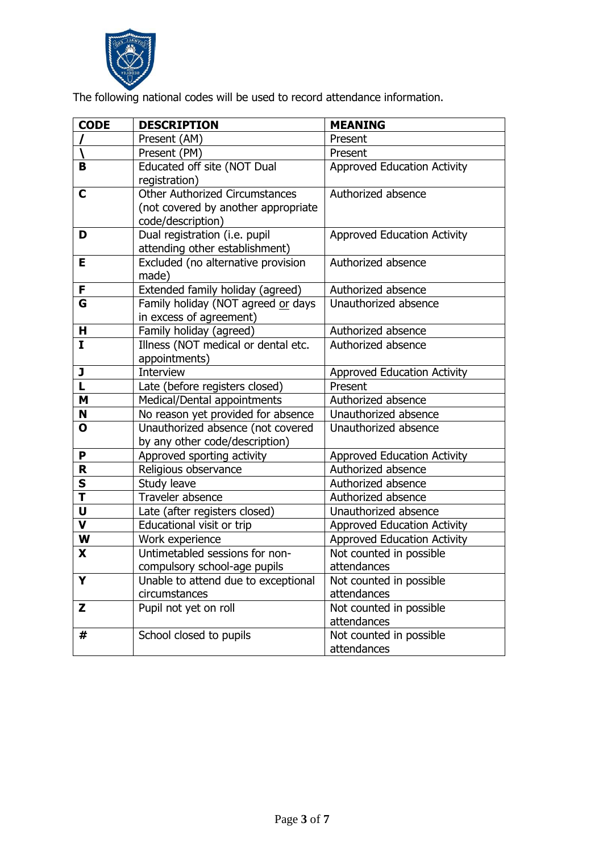

The following national codes will be used to record attendance information.

| <b>CODE</b>             | <b>DESCRIPTION</b>                    | <b>MEANING</b>                     |
|-------------------------|---------------------------------------|------------------------------------|
|                         | Present (AM)                          | Present                            |
|                         | Present (PM)                          | Present                            |
| B                       | Educated off site (NOT Dual           | <b>Approved Education Activity</b> |
|                         | registration)                         |                                    |
| $\mathbf C$             | <b>Other Authorized Circumstances</b> | Authorized absence                 |
|                         | (not covered by another appropriate   |                                    |
|                         | code/description)                     |                                    |
| D                       | Dual registration (i.e. pupil         | <b>Approved Education Activity</b> |
|                         | attending other establishment)        |                                    |
| Е                       | Excluded (no alternative provision    | Authorized absence                 |
|                         | made)                                 |                                    |
| F                       | Extended family holiday (agreed)      | Authorized absence                 |
| G                       | Family holiday (NOT agreed or days    | Unauthorized absence               |
|                         | in excess of agreement)               |                                    |
| н                       | Family holiday (agreed)               | Authorized absence                 |
| $\mathbf{I}$            | Illness (NOT medical or dental etc.   | Authorized absence                 |
|                         | appointments)                         |                                    |
| J                       | Interview                             | <b>Approved Education Activity</b> |
| L                       | Late (before registers closed)        | Present                            |
| M                       | Medical/Dental appointments           | Authorized absence                 |
| N                       | No reason yet provided for absence    | Unauthorized absence               |
| O                       | Unauthorized absence (not covered     | Unauthorized absence               |
|                         | by any other code/description)        |                                    |
| P                       | Approved sporting activity            | <b>Approved Education Activity</b> |
| R                       | Religious observance                  | Authorized absence                 |
| S                       | Study leave                           | Authorized absence                 |
| $\overline{\mathsf{T}}$ | Traveler absence                      | Authorized absence                 |
| U                       | Late (after registers closed)         | Unauthorized absence               |
| $\overline{\mathbf{v}}$ | Educational visit or trip             | <b>Approved Education Activity</b> |
| W                       | Work experience                       | <b>Approved Education Activity</b> |
| X                       | Untimetabled sessions for non-        | Not counted in possible            |
|                         | compulsory school-age pupils          | attendances                        |
| Y                       | Unable to attend due to exceptional   | Not counted in possible            |
|                         | circumstances                         | attendances                        |
| Z                       | Pupil not yet on roll                 | Not counted in possible            |
|                         |                                       | attendances                        |
| #                       | School closed to pupils               | Not counted in possible            |
|                         |                                       | attendances                        |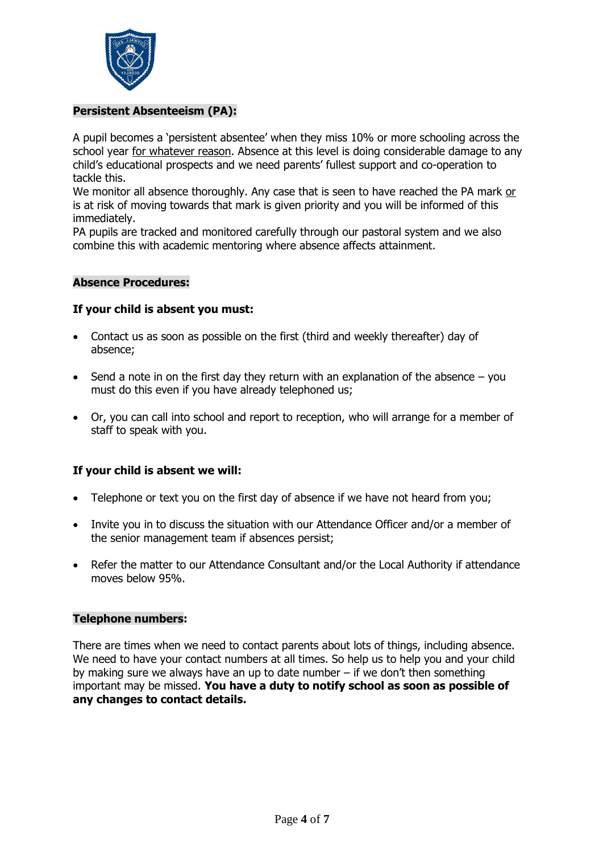

# **Persistent Absenteeism (PA):**

A pupil becomes a 'persistent absentee' when they miss 10% or more schooling across the school year for whatever reason. Absence at this level is doing considerable damage to any child's educational prospects and we need parents' fullest support and co-operation to tackle this.

We monitor all absence thoroughly. Any case that is seen to have reached the PA mark or is at risk of moving towards that mark is given priority and you will be informed of this immediately.

PA pupils are tracked and monitored carefully through our pastoral system and we also combine this with academic mentoring where absence affects attainment.

# **Absence Procedures:**

# **If your child is absent you must:**

- Contact us as soon as possible on the first (third and weekly thereafter) day of absence;
- $\bullet$  Send a note in on the first day they return with an explanation of the absence you must do this even if you have already telephoned us;
- Or, you can call into school and report to reception, who will arrange for a member of staff to speak with you.

# **If your child is absent we will:**

- Telephone or text you on the first day of absence if we have not heard from you;
- Invite you in to discuss the situation with our Attendance Officer and/or a member of the senior management team if absences persist;
- Refer the matter to our Attendance Consultant and/or the Local Authority if attendance moves below 95%.

#### **Telephone numbers:**

There are times when we need to contact parents about lots of things, including absence. We need to have your contact numbers at all times. So help us to help you and your child by making sure we always have an up to date number – if we don't then something important may be missed. **You have a duty to notify school as soon as possible of any changes to contact details.**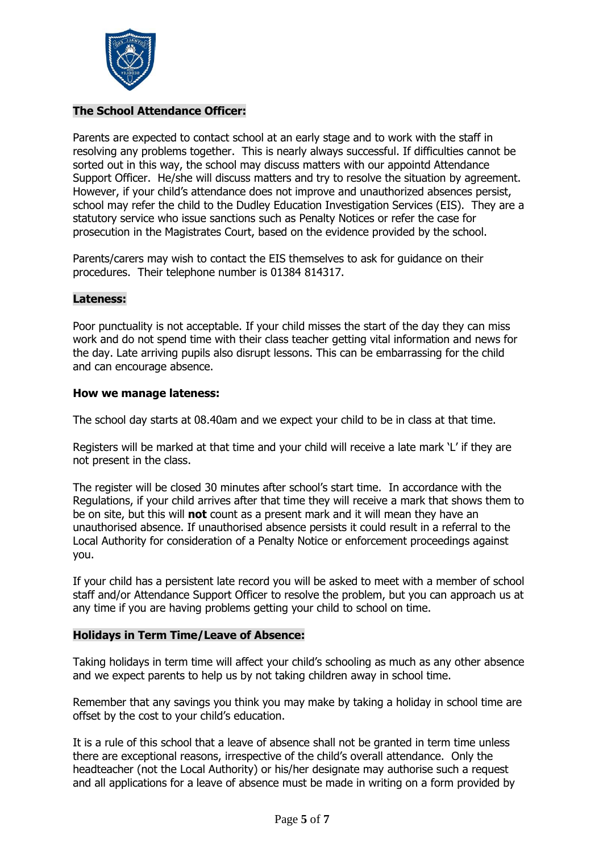

# **The School Attendance Officer:**

Parents are expected to contact school at an early stage and to work with the staff in resolving any problems together. This is nearly always successful. If difficulties cannot be sorted out in this way, the school may discuss matters with our appointd Attendance Support Officer. He/she will discuss matters and try to resolve the situation by agreement. However, if your child's attendance does not improve and unauthorized absences persist, school may refer the child to the Dudley Education Investigation Services (EIS). They are a statutory service who issue sanctions such as Penalty Notices or refer the case for prosecution in the Magistrates Court, based on the evidence provided by the school.

Parents/carers may wish to contact the EIS themselves to ask for guidance on their procedures. Their telephone number is 01384 814317.

#### **Lateness:**

Poor punctuality is not acceptable. If your child misses the start of the day they can miss work and do not spend time with their class teacher getting vital information and news for the day. Late arriving pupils also disrupt lessons. This can be embarrassing for the child and can encourage absence.

#### **How we manage lateness:**

The school day starts at 08.40am and we expect your child to be in class at that time.

Registers will be marked at that time and your child will receive a late mark 'L' if they are not present in the class.

The register will be closed 30 minutes after school's start time. In accordance with the Regulations, if your child arrives after that time they will receive a mark that shows them to be on site, but this will **not** count as a present mark and it will mean they have an unauthorised absence. If unauthorised absence persists it could result in a referral to the Local Authority for consideration of a Penalty Notice or enforcement proceedings against you.

If your child has a persistent late record you will be asked to meet with a member of school staff and/or Attendance Support Officer to resolve the problem, but you can approach us at any time if you are having problems getting your child to school on time.

# **Holidays in Term Time/Leave of Absence:**

Taking holidays in term time will affect your child's schooling as much as any other absence and we expect parents to help us by not taking children away in school time.

Remember that any savings you think you may make by taking a holiday in school time are offset by the cost to your child's education.

It is a rule of this school that a leave of absence shall not be granted in term time unless there are exceptional reasons, irrespective of the child's overall attendance. Only the headteacher (not the Local Authority) or his/her designate may authorise such a request and all applications for a leave of absence must be made in writing on a form provided by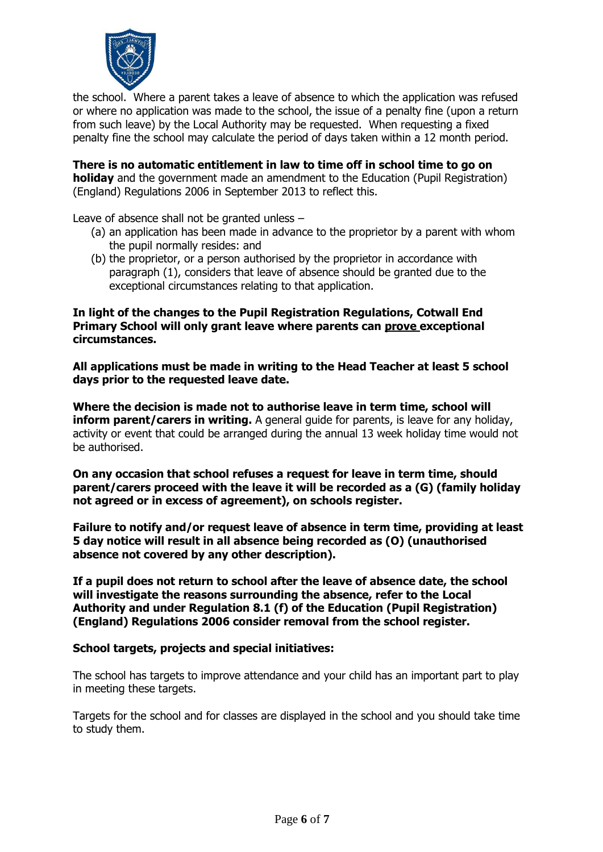

the school. Where a parent takes a leave of absence to which the application was refused or where no application was made to the school, the issue of a penalty fine (upon a return from such leave) by the Local Authority may be requested. When requesting a fixed penalty fine the school may calculate the period of days taken within a 12 month period.

**There is no automatic entitlement in law to time off in school time to go on holiday** and the government made an amendment to the Education (Pupil Registration) (England) Regulations 2006 in September 2013 to reflect this.

Leave of absence shall not be granted unless –

- (a) an application has been made in advance to the proprietor by a parent with whom the pupil normally resides: and
- (b) the proprietor, or a person authorised by the proprietor in accordance with paragraph (1), considers that leave of absence should be granted due to the exceptional circumstances relating to that application.

**In light of the changes to the Pupil Registration Regulations, Cotwall End Primary School will only grant leave where parents can prove exceptional circumstances.**

**All applications must be made in writing to the Head Teacher at least 5 school days prior to the requested leave date.**

**Where the decision is made not to authorise leave in term time, school will inform parent/carers in writing.** A general quide for parents, is leave for any holiday, activity or event that could be arranged during the annual 13 week holiday time would not be authorised.

**On any occasion that school refuses a request for leave in term time, should parent/carers proceed with the leave it will be recorded as a (G) (family holiday not agreed or in excess of agreement), on schools register.**

**Failure to notify and/or request leave of absence in term time, providing at least 5 day notice will result in all absence being recorded as (O) (unauthorised absence not covered by any other description).**

**If a pupil does not return to school after the leave of absence date, the school will investigate the reasons surrounding the absence, refer to the Local Authority and under Regulation 8.1 (f) of the Education (Pupil Registration) (England) Regulations 2006 consider removal from the school register.**

#### **School targets, projects and special initiatives:**

The school has targets to improve attendance and your child has an important part to play in meeting these targets.

Targets for the school and for classes are displayed in the school and you should take time to study them.